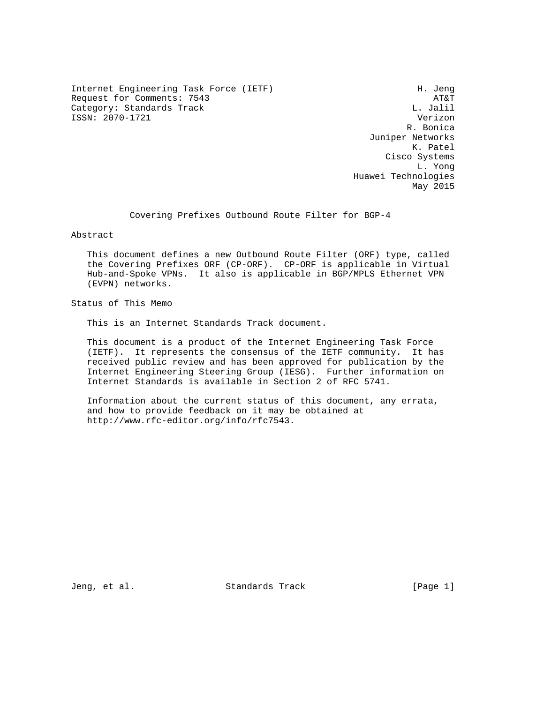Internet Engineering Task Force (IETF) H. Jeng Request for Comments: 7543 AT&T<br>Category: Standards Track Category: All Dunner Mathematics Category: Standards Track ISSN: 2070-1721 Verizon

 R. Bonica Juniper Networks K. Patel Cisco Systems L. Yong Huawei Technologies May 2015

Covering Prefixes Outbound Route Filter for BGP-4

Abstract

 This document defines a new Outbound Route Filter (ORF) type, called the Covering Prefixes ORF (CP-ORF). CP-ORF is applicable in Virtual Hub-and-Spoke VPNs. It also is applicable in BGP/MPLS Ethernet VPN (EVPN) networks.

Status of This Memo

This is an Internet Standards Track document.

 This document is a product of the Internet Engineering Task Force (IETF). It represents the consensus of the IETF community. It has received public review and has been approved for publication by the Internet Engineering Steering Group (IESG). Further information on Internet Standards is available in Section 2 of RFC 5741.

 Information about the current status of this document, any errata, and how to provide feedback on it may be obtained at http://www.rfc-editor.org/info/rfc7543.

Jeng, et al. Standards Track [Page 1]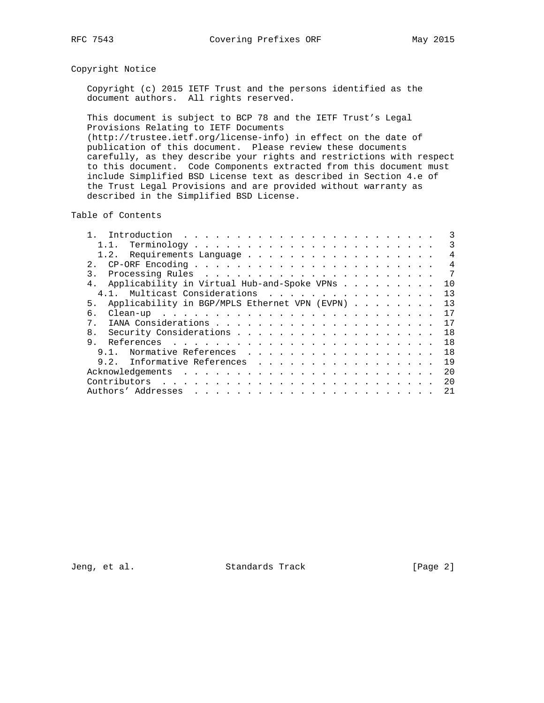## Copyright Notice

 Copyright (c) 2015 IETF Trust and the persons identified as the document authors. All rights reserved.

 This document is subject to BCP 78 and the IETF Trust's Legal Provisions Relating to IETF Documents (http://trustee.ietf.org/license-info) in effect on the date of publication of this document. Please review these documents carefully, as they describe your rights and restrictions with respect to this document. Code Components extracted from this document must include Simplified BSD License text as described in Section 4.e of the Trust Legal Provisions and are provided without warranty as described in the Simplified BSD License.

Table of Contents

|                                                           | 3              |
|-----------------------------------------------------------|----------------|
|                                                           | 3              |
|                                                           | $\overline{4}$ |
|                                                           | $\overline{4}$ |
| $\overline{7}$<br>$\mathcal{R}$                           |                |
| Applicability in Virtual Hub-and-Spoke VPNs<br>4.<br>10   |                |
| 4.1. Multicast Considerations<br>13                       |                |
| Applicability in BGP/MPLS Ethernet VPN (EVPN)<br>13<br>5. |                |
| 17<br>б.                                                  |                |
| 17<br>$7$ .                                               |                |
| 18<br>8.                                                  |                |
| 9.<br>18                                                  |                |
| 1 R<br>Normative References<br>9 1                        |                |
| 9.2. Informative References 19                            |                |
| 2.0                                                       |                |
| 20                                                        |                |
| 21                                                        |                |

Jeng, et al. Standards Track [Page 2]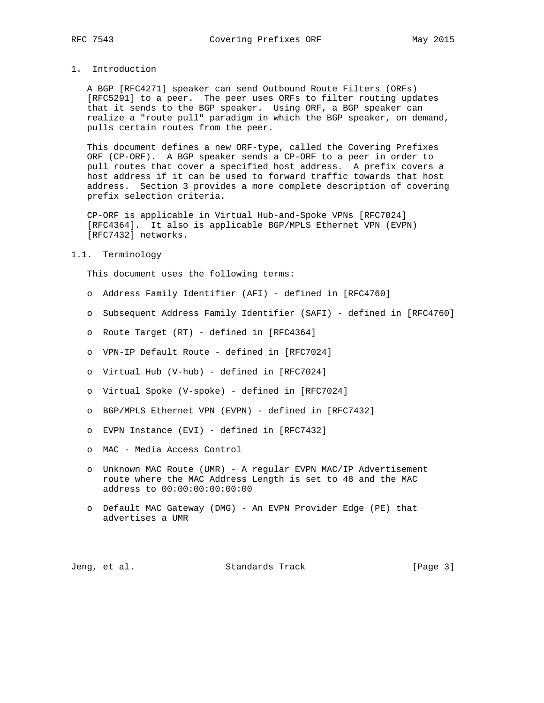## 1. Introduction

 A BGP [RFC4271] speaker can send Outbound Route Filters (ORFs) [RFC5291] to a peer. The peer uses ORFs to filter routing updates that it sends to the BGP speaker. Using ORF, a BGP speaker can realize a "route pull" paradigm in which the BGP speaker, on demand, pulls certain routes from the peer.

 This document defines a new ORF-type, called the Covering Prefixes ORF (CP-ORF). A BGP speaker sends a CP-ORF to a peer in order to pull routes that cover a specified host address. A prefix covers a host address if it can be used to forward traffic towards that host address. Section 3 provides a more complete description of covering prefix selection criteria.

 CP-ORF is applicable in Virtual Hub-and-Spoke VPNs [RFC7024] [RFC4364]. It also is applicable BGP/MPLS Ethernet VPN (EVPN) [RFC7432] networks.

#### 1.1. Terminology

This document uses the following terms:

- o Address Family Identifier (AFI) defined in [RFC4760]
- o Subsequent Address Family Identifier (SAFI) defined in [RFC4760]
- o Route Target (RT) defined in [RFC4364]
- o VPN-IP Default Route defined in [RFC7024]
- o Virtual Hub (V-hub) defined in [RFC7024]
- o Virtual Spoke (V-spoke) defined in [RFC7024]
- o BGP/MPLS Ethernet VPN (EVPN) defined in [RFC7432]
- o EVPN Instance (EVI) defined in [RFC7432]
- o MAC Media Access Control
- o Unknown MAC Route (UMR) A regular EVPN MAC/IP Advertisement route where the MAC Address Length is set to 48 and the MAC address to 00:00:00:00:00:00
- o Default MAC Gateway (DMG) An EVPN Provider Edge (PE) that advertises a UMR

|  | Jeng, et al. | Standards Track | [Page 3] |  |
|--|--------------|-----------------|----------|--|
|--|--------------|-----------------|----------|--|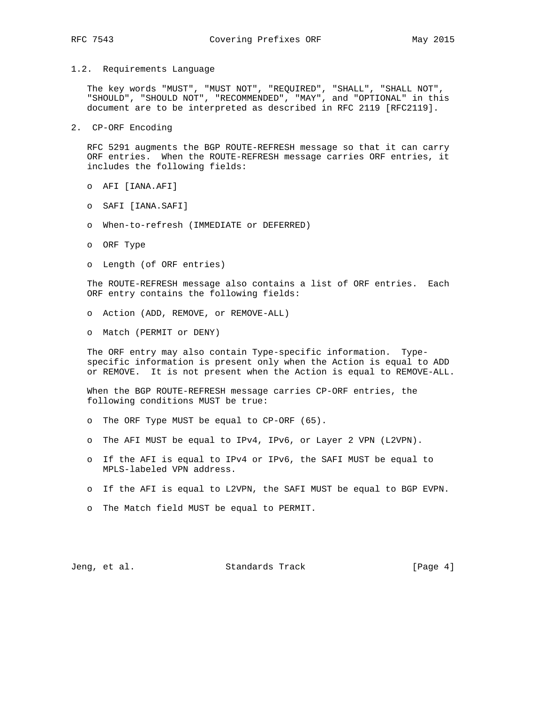The key words "MUST", "MUST NOT", "REQUIRED", "SHALL", "SHALL NOT", "SHOULD", "SHOULD NOT", "RECOMMENDED", "MAY", and "OPTIONAL" in this document are to be interpreted as described in RFC 2119 [RFC2119].

2. CP-ORF Encoding

 RFC 5291 augments the BGP ROUTE-REFRESH message so that it can carry ORF entries. When the ROUTE-REFRESH message carries ORF entries, it includes the following fields:

- o AFI [IANA.AFI]
- o SAFI [IANA.SAFI]
- o When-to-refresh (IMMEDIATE or DEFERRED)
- o ORF Type
- o Length (of ORF entries)

 The ROUTE-REFRESH message also contains a list of ORF entries. Each ORF entry contains the following fields:

- o Action (ADD, REMOVE, or REMOVE-ALL)
- o Match (PERMIT or DENY)

 The ORF entry may also contain Type-specific information. Type specific information is present only when the Action is equal to ADD or REMOVE. It is not present when the Action is equal to REMOVE-ALL.

 When the BGP ROUTE-REFRESH message carries CP-ORF entries, the following conditions MUST be true:

- o The ORF Type MUST be equal to CP-ORF (65).
- o The AFI MUST be equal to IPv4, IPv6, or Layer 2 VPN (L2VPN).
- o If the AFI is equal to IPv4 or IPv6, the SAFI MUST be equal to MPLS-labeled VPN address.
- o If the AFI is equal to L2VPN, the SAFI MUST be equal to BGP EVPN.
- o The Match field MUST be equal to PERMIT.

Jeng, et al. Standards Track [Page 4]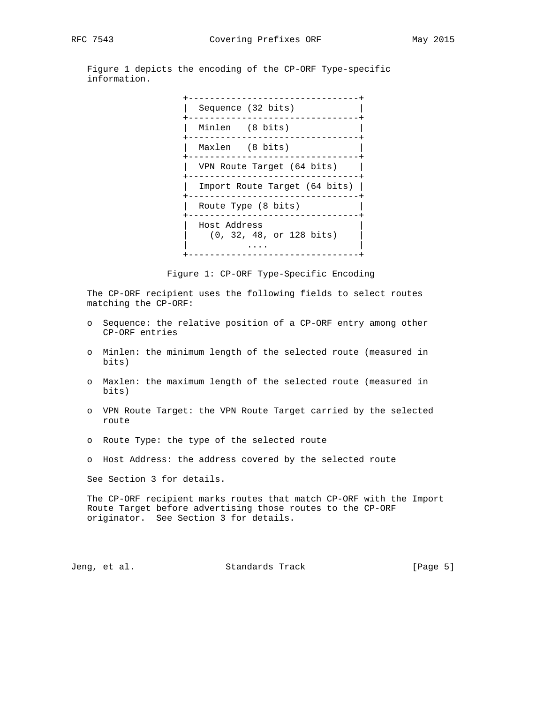Figure 1 depicts the encoding of the CP-ORF Type-specific information.



Figure 1: CP-ORF Type-Specific Encoding

 The CP-ORF recipient uses the following fields to select routes matching the CP-ORF:

- o Sequence: the relative position of a CP-ORF entry among other CP-ORF entries
- o Minlen: the minimum length of the selected route (measured in bits)
- o Maxlen: the maximum length of the selected route (measured in bits)
- o VPN Route Target: the VPN Route Target carried by the selected route
- o Route Type: the type of the selected route
- o Host Address: the address covered by the selected route

See Section 3 for details.

 The CP-ORF recipient marks routes that match CP-ORF with the Import Route Target before advertising those routes to the CP-ORF originator. See Section 3 for details.

Jeng, et al. Standards Track [Page 5]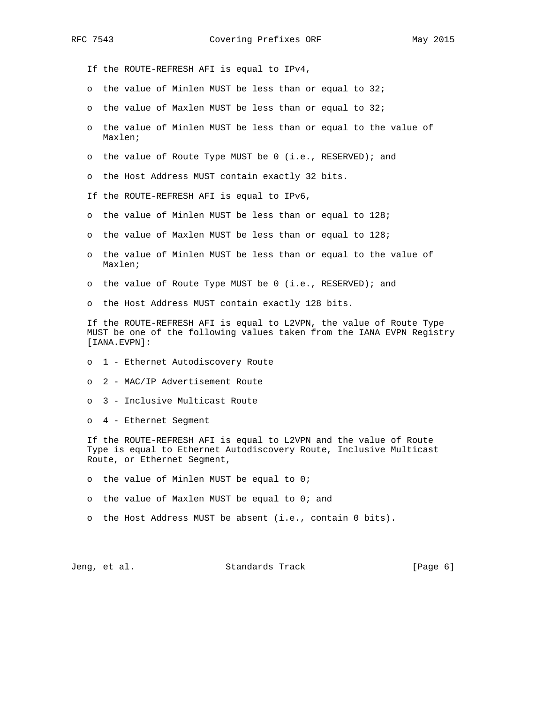If the ROUTE-REFRESH AFI is equal to IPv4, o the value of Minlen MUST be less than or equal to 32; o the value of Maxlen MUST be less than or equal to 32; o the value of Minlen MUST be less than or equal to the value of Maxlen; o the value of Route Type MUST be 0 (i.e., RESERVED); and o the Host Address MUST contain exactly 32 bits. If the ROUTE-REFRESH AFI is equal to IPv6, o the value of Minlen MUST be less than or equal to 128; o the value of Maxlen MUST be less than or equal to 128; o the value of Minlen MUST be less than or equal to the value of Maxlen; o the value of Route Type MUST be 0 (i.e., RESERVED); and o the Host Address MUST contain exactly 128 bits. If the ROUTE-REFRESH AFI is equal to L2VPN, the value of Route Type MUST be one of the following values taken from the IANA EVPN Registry [IANA.EVPN]: o 1 - Ethernet Autodiscovery Route o 2 - MAC/IP Advertisement Route o 3 - Inclusive Multicast Route o 4 - Ethernet Segment If the ROUTE-REFRESH AFI is equal to L2VPN and the value of Route Type is equal to Ethernet Autodiscovery Route, Inclusive Multicast Route, or Ethernet Segment, o the value of Minlen MUST be equal to 0; o the value of Maxlen MUST be equal to 0; and o the Host Address MUST be absent (i.e., contain 0 bits).

Jeng, et al. Standards Track [Page 6]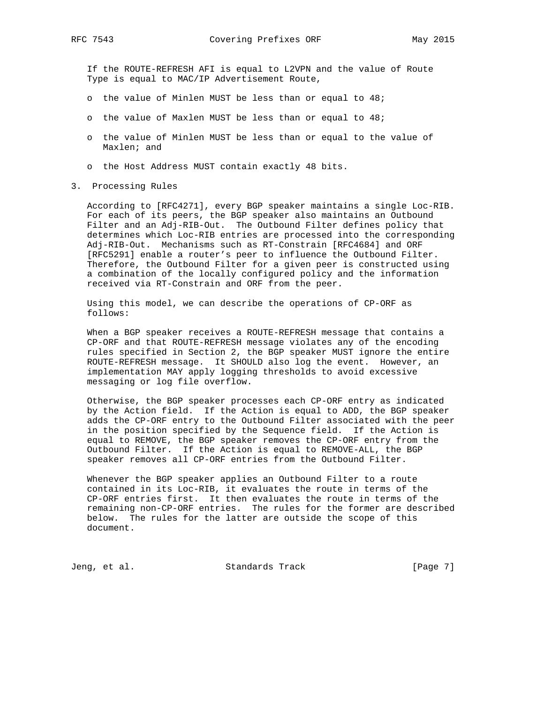If the ROUTE-REFRESH AFI is equal to L2VPN and the value of Route Type is equal to MAC/IP Advertisement Route,

- o the value of Minlen MUST be less than or equal to 48;
- o the value of Maxlen MUST be less than or equal to 48;
- o the value of Minlen MUST be less than or equal to the value of Maxlen; and
- o the Host Address MUST contain exactly 48 bits.
- 3. Processing Rules

 According to [RFC4271], every BGP speaker maintains a single Loc-RIB. For each of its peers, the BGP speaker also maintains an Outbound Filter and an Adj-RIB-Out. The Outbound Filter defines policy that determines which Loc-RIB entries are processed into the corresponding Adj-RIB-Out. Mechanisms such as RT-Constrain [RFC4684] and ORF [RFC5291] enable a router's peer to influence the Outbound Filter. Therefore, the Outbound Filter for a given peer is constructed using a combination of the locally configured policy and the information received via RT-Constrain and ORF from the peer.

 Using this model, we can describe the operations of CP-ORF as follows:

 When a BGP speaker receives a ROUTE-REFRESH message that contains a CP-ORF and that ROUTE-REFRESH message violates any of the encoding rules specified in Section 2, the BGP speaker MUST ignore the entire ROUTE-REFRESH message. It SHOULD also log the event. However, an implementation MAY apply logging thresholds to avoid excessive messaging or log file overflow.

 Otherwise, the BGP speaker processes each CP-ORF entry as indicated by the Action field. If the Action is equal to ADD, the BGP speaker adds the CP-ORF entry to the Outbound Filter associated with the peer in the position specified by the Sequence field. If the Action is equal to REMOVE, the BGP speaker removes the CP-ORF entry from the Outbound Filter. If the Action is equal to REMOVE-ALL, the BGP speaker removes all CP-ORF entries from the Outbound Filter.

 Whenever the BGP speaker applies an Outbound Filter to a route contained in its Loc-RIB, it evaluates the route in terms of the CP-ORF entries first. It then evaluates the route in terms of the remaining non-CP-ORF entries. The rules for the former are described below. The rules for the latter are outside the scope of this document.

Jeng, et al. Standards Track [Page 7]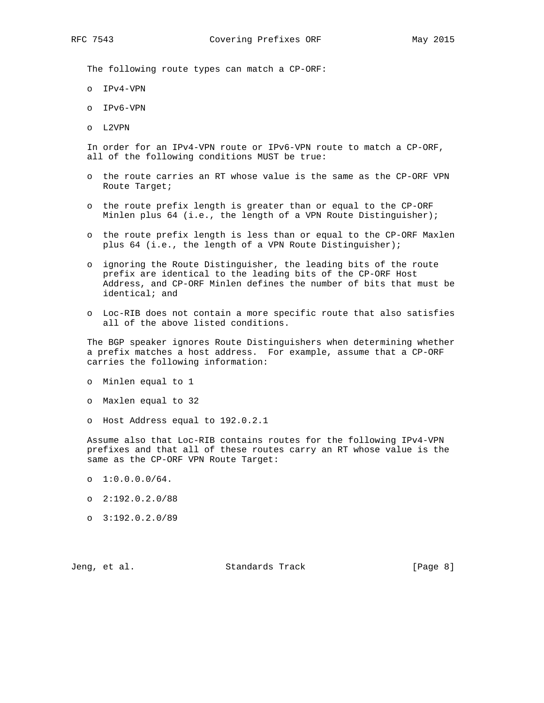The following route types can match a CP-ORF:

- o IPv4-VPN
- o IPv6-VPN
- o L2VPN

 In order for an IPv4-VPN route or IPv6-VPN route to match a CP-ORF, all of the following conditions MUST be true:

- o the route carries an RT whose value is the same as the CP-ORF VPN Route Target;
- o the route prefix length is greater than or equal to the CP-ORF Minlen plus 64 (i.e., the length of a VPN Route Distinguisher);
- o the route prefix length is less than or equal to the CP-ORF Maxlen plus 64 (i.e., the length of a VPN Route Distinguisher);
- o ignoring the Route Distinguisher, the leading bits of the route prefix are identical to the leading bits of the CP-ORF Host Address, and CP-ORF Minlen defines the number of bits that must be identical; and
- o Loc-RIB does not contain a more specific route that also satisfies all of the above listed conditions.

 The BGP speaker ignores Route Distinguishers when determining whether a prefix matches a host address. For example, assume that a CP-ORF carries the following information:

- o Minlen equal to 1
- o Maxlen equal to 32
- o Host Address equal to 192.0.2.1

 Assume also that Loc-RIB contains routes for the following IPv4-VPN prefixes and that all of these routes carry an RT whose value is the same as the CP-ORF VPN Route Target:

- o 1:0.0.0.0/64.
- o 2:192.0.2.0/88
- o 3:192.0.2.0/89

Jeng, et al. Standards Track [Page 8]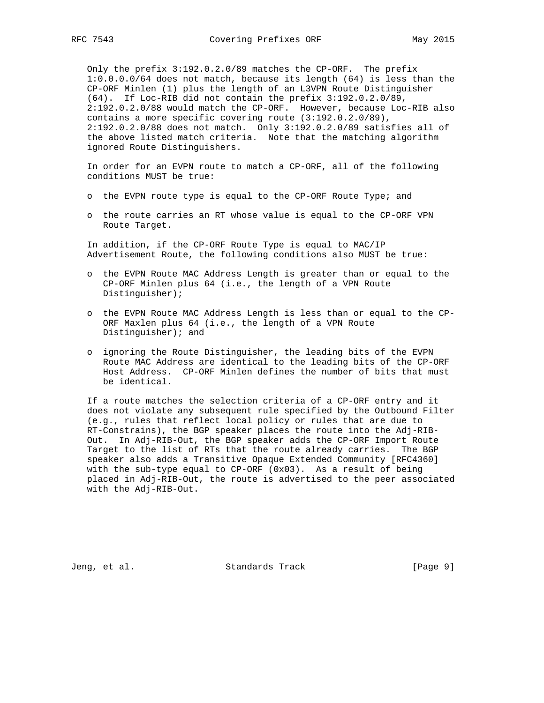Only the prefix 3:192.0.2.0/89 matches the CP-ORF. The prefix 1:0.0.0.0/64 does not match, because its length (64) is less than the CP-ORF Minlen (1) plus the length of an L3VPN Route Distinguisher (64). If Loc-RIB did not contain the prefix 3:192.0.2.0/89, 2:192.0.2.0/88 would match the CP-ORF. However, because Loc-RIB also contains a more specific covering route (3:192.0.2.0/89), 2:192.0.2.0/88 does not match. Only 3:192.0.2.0/89 satisfies all of the above listed match criteria. Note that the matching algorithm ignored Route Distinguishers.

 In order for an EVPN route to match a CP-ORF, all of the following conditions MUST be true:

- o the EVPN route type is equal to the CP-ORF Route Type; and
- o the route carries an RT whose value is equal to the CP-ORF VPN Route Target.

 In addition, if the CP-ORF Route Type is equal to MAC/IP Advertisement Route, the following conditions also MUST be true:

- o the EVPN Route MAC Address Length is greater than or equal to the CP-ORF Minlen plus 64 (i.e., the length of a VPN Route Distinguisher);
- o the EVPN Route MAC Address Length is less than or equal to the CP- ORF Maxlen plus 64 (i.e., the length of a VPN Route Distinguisher); and
- o ignoring the Route Distinguisher, the leading bits of the EVPN Route MAC Address are identical to the leading bits of the CP-ORF Host Address. CP-ORF Minlen defines the number of bits that must be identical.

 If a route matches the selection criteria of a CP-ORF entry and it does not violate any subsequent rule specified by the Outbound Filter (e.g., rules that reflect local policy or rules that are due to RT-Constrains), the BGP speaker places the route into the Adj-RIB- Out. In Adj-RIB-Out, the BGP speaker adds the CP-ORF Import Route Target to the list of RTs that the route already carries. The BGP speaker also adds a Transitive Opaque Extended Community [RFC4360] with the sub-type equal to CP-ORF (0x03). As a result of being placed in Adj-RIB-Out, the route is advertised to the peer associated with the Adj-RIB-Out.

Jeng, et al. Standards Track [Page 9]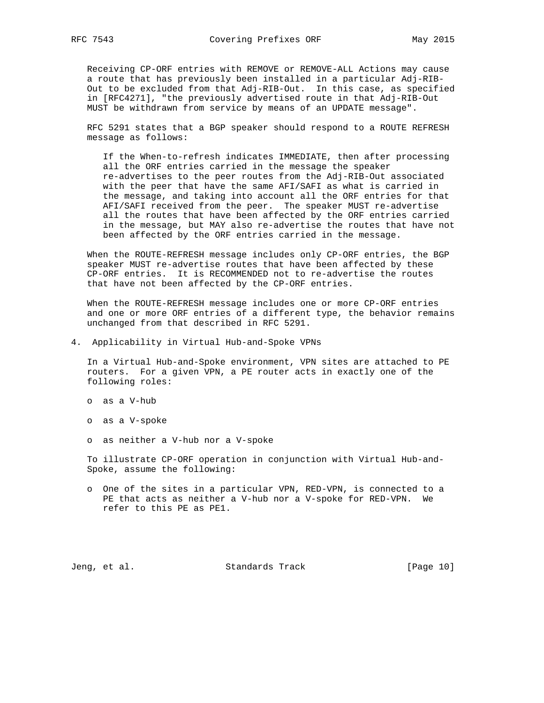Receiving CP-ORF entries with REMOVE or REMOVE-ALL Actions may cause a route that has previously been installed in a particular Adj-RIB- Out to be excluded from that Adj-RIB-Out. In this case, as specified in [RFC4271], "the previously advertised route in that Adj-RIB-Out MUST be withdrawn from service by means of an UPDATE message".

 RFC 5291 states that a BGP speaker should respond to a ROUTE REFRESH message as follows:

 If the When-to-refresh indicates IMMEDIATE, then after processing all the ORF entries carried in the message the speaker re-advertises to the peer routes from the Adj-RIB-Out associated with the peer that have the same AFI/SAFI as what is carried in the message, and taking into account all the ORF entries for that AFI/SAFI received from the peer. The speaker MUST re-advertise all the routes that have been affected by the ORF entries carried in the message, but MAY also re-advertise the routes that have not been affected by the ORF entries carried in the message.

 When the ROUTE-REFRESH message includes only CP-ORF entries, the BGP speaker MUST re-advertise routes that have been affected by these CP-ORF entries. It is RECOMMENDED not to re-advertise the routes that have not been affected by the CP-ORF entries.

 When the ROUTE-REFRESH message includes one or more CP-ORF entries and one or more ORF entries of a different type, the behavior remains unchanged from that described in RFC 5291.

4. Applicability in Virtual Hub-and-Spoke VPNs

 In a Virtual Hub-and-Spoke environment, VPN sites are attached to PE routers. For a given VPN, a PE router acts in exactly one of the following roles:

- o as a V-hub
- o as a V-spoke
- o as neither a V-hub nor a V-spoke

 To illustrate CP-ORF operation in conjunction with Virtual Hub-and- Spoke, assume the following:

 o One of the sites in a particular VPN, RED-VPN, is connected to a PE that acts as neither a V-hub nor a V-spoke for RED-VPN. We refer to this PE as PE1.

Jeng, et al. Standards Track [Page 10]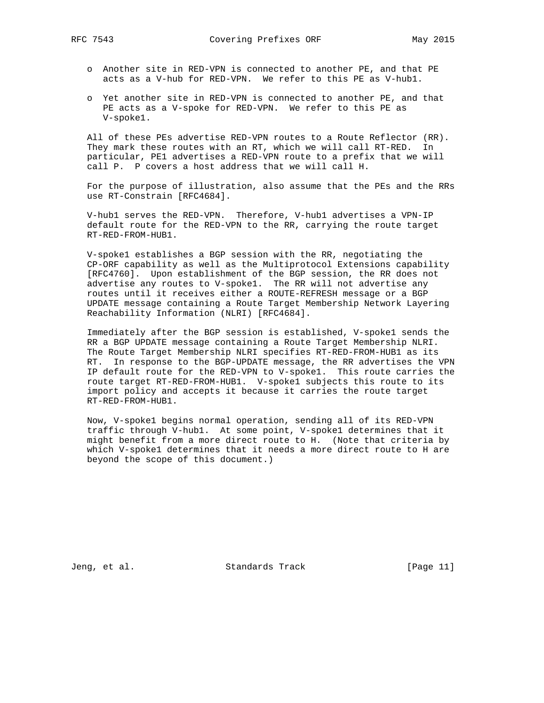- o Another site in RED-VPN is connected to another PE, and that PE acts as a V-hub for RED-VPN. We refer to this PE as V-hub1.
- o Yet another site in RED-VPN is connected to another PE, and that PE acts as a V-spoke for RED-VPN. We refer to this PE as V-spoke1.

 All of these PEs advertise RED-VPN routes to a Route Reflector (RR). They mark these routes with an RT, which we will call RT-RED. In particular, PE1 advertises a RED-VPN route to a prefix that we will call P. P covers a host address that we will call H.

 For the purpose of illustration, also assume that the PEs and the RRs use RT-Constrain [RFC4684].

 V-hub1 serves the RED-VPN. Therefore, V-hub1 advertises a VPN-IP default route for the RED-VPN to the RR, carrying the route target RT-RED-FROM-HUB1.

 V-spoke1 establishes a BGP session with the RR, negotiating the CP-ORF capability as well as the Multiprotocol Extensions capability [RFC4760]. Upon establishment of the BGP session, the RR does not advertise any routes to V-spoke1. The RR will not advertise any routes until it receives either a ROUTE-REFRESH message or a BGP UPDATE message containing a Route Target Membership Network Layering Reachability Information (NLRI) [RFC4684].

 Immediately after the BGP session is established, V-spoke1 sends the RR a BGP UPDATE message containing a Route Target Membership NLRI. The Route Target Membership NLRI specifies RT-RED-FROM-HUB1 as its RT. In response to the BGP-UPDATE message, the RR advertises the VPN IP default route for the RED-VPN to V-spoke1. This route carries the route target RT-RED-FROM-HUB1. V-spoke1 subjects this route to its import policy and accepts it because it carries the route target RT-RED-FROM-HUB1.

 Now, V-spoke1 begins normal operation, sending all of its RED-VPN traffic through V-hub1. At some point, V-spoke1 determines that it might benefit from a more direct route to H. (Note that criteria by which V-spoke1 determines that it needs a more direct route to H are beyond the scope of this document.)

Jeng, et al. Standards Track [Page 11]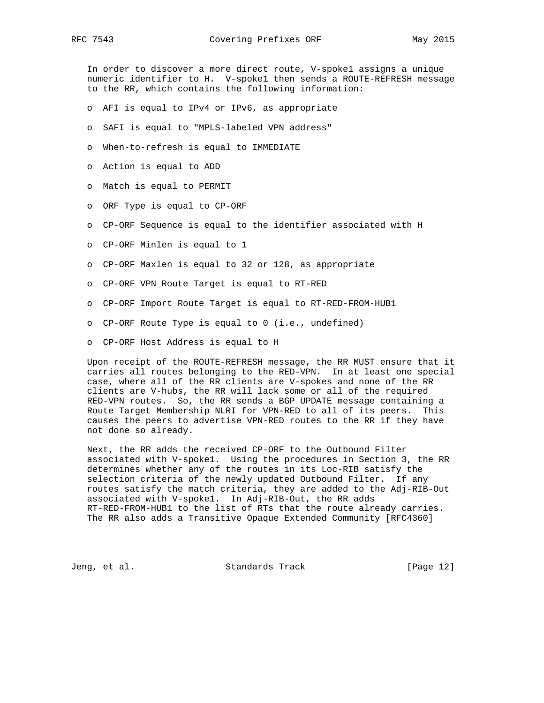RFC 7543 Covering Prefixes ORF May 2015

 In order to discover a more direct route, V-spoke1 assigns a unique numeric identifier to H. V-spoke1 then sends a ROUTE-REFRESH message to the RR, which contains the following information:

- o AFI is equal to IPv4 or IPv6, as appropriate
- o SAFI is equal to "MPLS-labeled VPN address"
- o When-to-refresh is equal to IMMEDIATE
- o Action is equal to ADD
- o Match is equal to PERMIT
- o ORF Type is equal to CP-ORF
- o CP-ORF Sequence is equal to the identifier associated with H
- o CP-ORF Minlen is equal to 1
- o CP-ORF Maxlen is equal to 32 or 128, as appropriate
- o CP-ORF VPN Route Target is equal to RT-RED
- o CP-ORF Import Route Target is equal to RT-RED-FROM-HUB1
- o CP-ORF Route Type is equal to 0 (i.e., undefined)
- o CP-ORF Host Address is equal to H

 Upon receipt of the ROUTE-REFRESH message, the RR MUST ensure that it carries all routes belonging to the RED-VPN. In at least one special case, where all of the RR clients are V-spokes and none of the RR clients are V-hubs, the RR will lack some or all of the required RED-VPN routes. So, the RR sends a BGP UPDATE message containing a Route Target Membership NLRI for VPN-RED to all of its peers. This causes the peers to advertise VPN-RED routes to the RR if they have not done so already.

 Next, the RR adds the received CP-ORF to the Outbound Filter associated with V-spoke1. Using the procedures in Section 3, the RR determines whether any of the routes in its Loc-RIB satisfy the selection criteria of the newly updated Outbound Filter. If any routes satisfy the match criteria, they are added to the Adj-RIB-Out associated with V-spoke1. In Adj-RIB-Out, the RR adds RT-RED-FROM-HUB1 to the list of RTs that the route already carries. The RR also adds a Transitive Opaque Extended Community [RFC4360]

Jeng, et al. Standards Track [Page 12]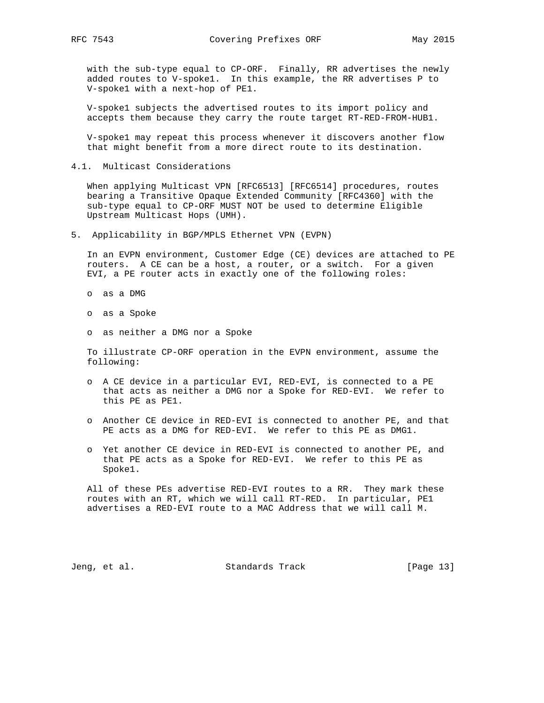with the sub-type equal to CP-ORF. Finally, RR advertises the newly added routes to V-spoke1. In this example, the RR advertises P to V-spoke1 with a next-hop of PE1.

 V-spoke1 subjects the advertised routes to its import policy and accepts them because they carry the route target RT-RED-FROM-HUB1.

 V-spoke1 may repeat this process whenever it discovers another flow that might benefit from a more direct route to its destination.

4.1. Multicast Considerations

 When applying Multicast VPN [RFC6513] [RFC6514] procedures, routes bearing a Transitive Opaque Extended Community [RFC4360] with the sub-type equal to CP-ORF MUST NOT be used to determine Eligible Upstream Multicast Hops (UMH).

5. Applicability in BGP/MPLS Ethernet VPN (EVPN)

 In an EVPN environment, Customer Edge (CE) devices are attached to PE routers. A CE can be a host, a router, or a switch. For a given EVI, a PE router acts in exactly one of the following roles:

- o as a DMG
- o as a Spoke
- o as neither a DMG nor a Spoke

 To illustrate CP-ORF operation in the EVPN environment, assume the following:

- o A CE device in a particular EVI, RED-EVI, is connected to a PE that acts as neither a DMG nor a Spoke for RED-EVI. We refer to this PE as PE1.
- o Another CE device in RED-EVI is connected to another PE, and that PE acts as a DMG for RED-EVI. We refer to this PE as DMG1.
- o Yet another CE device in RED-EVI is connected to another PE, and that PE acts as a Spoke for RED-EVI. We refer to this PE as Spoke1.

 All of these PEs advertise RED-EVI routes to a RR. They mark these routes with an RT, which we will call RT-RED. In particular, PE1 advertises a RED-EVI route to a MAC Address that we will call M.

Jeng, et al. Standards Track [Page 13]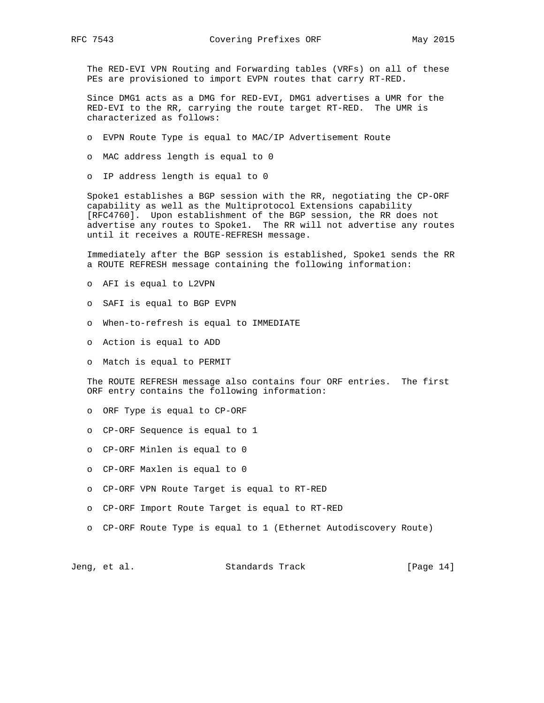The RED-EVI VPN Routing and Forwarding tables (VRFs) on all of these PEs are provisioned to import EVPN routes that carry RT-RED.

 Since DMG1 acts as a DMG for RED-EVI, DMG1 advertises a UMR for the RED-EVI to the RR, carrying the route target RT-RED. The UMR is characterized as follows:

- o EVPN Route Type is equal to MAC/IP Advertisement Route
- o MAC address length is equal to 0
- o IP address length is equal to 0

 Spoke1 establishes a BGP session with the RR, negotiating the CP-ORF capability as well as the Multiprotocol Extensions capability [RFC4760]. Upon establishment of the BGP session, the RR does not advertise any routes to Spoke1. The RR will not advertise any routes until it receives a ROUTE-REFRESH message.

 Immediately after the BGP session is established, Spoke1 sends the RR a ROUTE REFRESH message containing the following information:

- o AFI is equal to L2VPN
- o SAFI is equal to BGP EVPN
- o When-to-refresh is equal to IMMEDIATE
- o Action is equal to ADD
- o Match is equal to PERMIT

 The ROUTE REFRESH message also contains four ORF entries. The first ORF entry contains the following information:

- o ORF Type is equal to CP-ORF
- o CP-ORF Sequence is equal to 1
- o CP-ORF Minlen is equal to 0
- o CP-ORF Maxlen is equal to 0
- o CP-ORF VPN Route Target is equal to RT-RED
- o CP-ORF Import Route Target is equal to RT-RED
- o CP-ORF Route Type is equal to 1 (Ethernet Autodiscovery Route)

Jeng, et al. Standards Track [Page 14]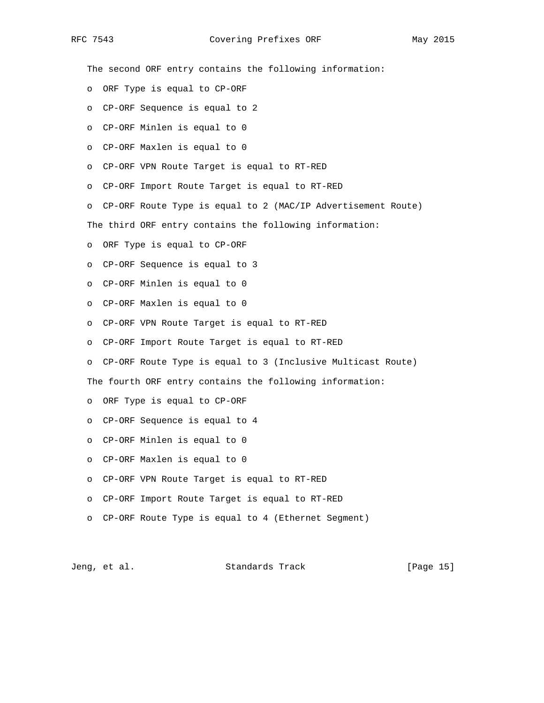RFC 7543 Covering Prefixes ORF May 2015

 The second ORF entry contains the following information: o ORF Type is equal to CP-ORF o CP-ORF Sequence is equal to 2 o CP-ORF Minlen is equal to 0 o CP-ORF Maxlen is equal to 0 o CP-ORF VPN Route Target is equal to RT-RED o CP-ORF Import Route Target is equal to RT-RED o CP-ORF Route Type is equal to 2 (MAC/IP Advertisement Route) The third ORF entry contains the following information: o ORF Type is equal to CP-ORF o CP-ORF Sequence is equal to 3 o CP-ORF Minlen is equal to 0 o CP-ORF Maxlen is equal to 0 o CP-ORF VPN Route Target is equal to RT-RED o CP-ORF Import Route Target is equal to RT-RED o CP-ORF Route Type is equal to 3 (Inclusive Multicast Route) The fourth ORF entry contains the following information: o ORF Type is equal to CP-ORF o CP-ORF Sequence is equal to 4 o CP-ORF Minlen is equal to 0 o CP-ORF Maxlen is equal to 0 o CP-ORF VPN Route Target is equal to RT-RED o CP-ORF Import Route Target is equal to RT-RED o CP-ORF Route Type is equal to 4 (Ethernet Segment)

Jeng, et al. Standards Track [Page 15]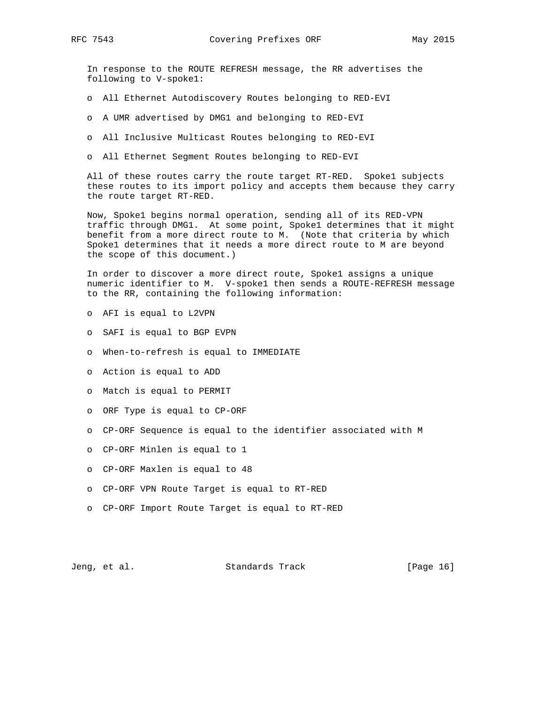In response to the ROUTE REFRESH message, the RR advertises the following to V-spoke1:

- o All Ethernet Autodiscovery Routes belonging to RED-EVI
- o A UMR advertised by DMG1 and belonging to RED-EVI
- o All Inclusive Multicast Routes belonging to RED-EVI
- o All Ethernet Segment Routes belonging to RED-EVI

 All of these routes carry the route target RT-RED. Spoke1 subjects these routes to its import policy and accepts them because they carry the route target RT-RED.

 Now, Spoke1 begins normal operation, sending all of its RED-VPN traffic through DMG1. At some point, Spoke1 determines that it might benefit from a more direct route to M. (Note that criteria by which Spoke1 determines that it needs a more direct route to M are beyond the scope of this document.)

 In order to discover a more direct route, Spoke1 assigns a unique numeric identifier to M. V-spoke1 then sends a ROUTE-REFRESH message to the RR, containing the following information:

- o AFI is equal to L2VPN
- o SAFI is equal to BGP EVPN
- o When-to-refresh is equal to IMMEDIATE
- o Action is equal to ADD
- o Match is equal to PERMIT
- o ORF Type is equal to CP-ORF
- o CP-ORF Sequence is equal to the identifier associated with M
- o CP-ORF Minlen is equal to 1
- o CP-ORF Maxlen is equal to 48
- o CP-ORF VPN Route Target is equal to RT-RED
- o CP-ORF Import Route Target is equal to RT-RED

Jeng, et al. Standards Track [Page 16]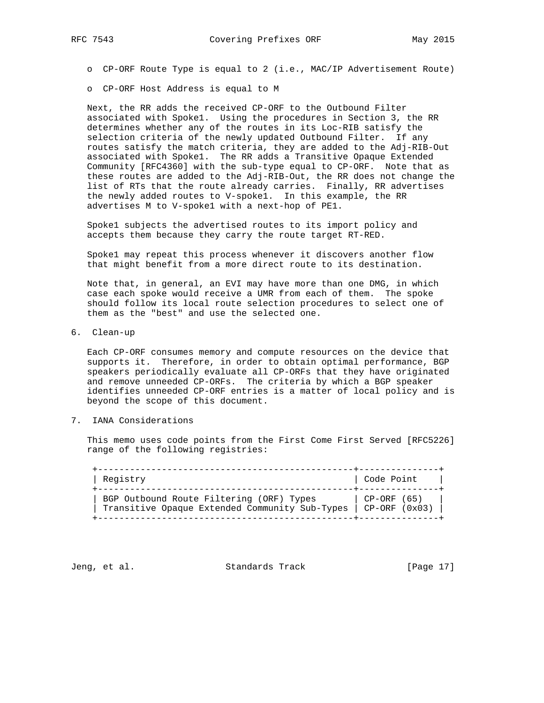o CP-ORF Host Address is equal to M

 Next, the RR adds the received CP-ORF to the Outbound Filter associated with Spoke1. Using the procedures in Section 3, the RR determines whether any of the routes in its Loc-RIB satisfy the selection criteria of the newly updated Outbound Filter. If any routes satisfy the match criteria, they are added to the Adj-RIB-Out associated with Spoke1. The RR adds a Transitive Opaque Extended Community [RFC4360] with the sub-type equal to CP-ORF. Note that as these routes are added to the Adj-RIB-Out, the RR does not change the list of RTs that the route already carries. Finally, RR advertises the newly added routes to V-spoke1. In this example, the RR advertises M to V-spoke1 with a next-hop of PE1.

 Spoke1 subjects the advertised routes to its import policy and accepts them because they carry the route target RT-RED.

 Spoke1 may repeat this process whenever it discovers another flow that might benefit from a more direct route to its destination.

 Note that, in general, an EVI may have more than one DMG, in which case each spoke would receive a UMR from each of them. The spoke should follow its local route selection procedures to select one of them as the "best" and use the selected one.

6. Clean-up

 Each CP-ORF consumes memory and compute resources on the device that supports it. Therefore, in order to obtain optimal performance, BGP speakers periodically evaluate all CP-ORFs that they have originated and remove unneeded CP-ORFs. The criteria by which a BGP speaker identifies unneeded CP-ORF entries is a matter of local policy and is beyond the scope of this document.

7. IANA Considerations

 This memo uses code points from the First Come First Served [RFC5226] range of the following registries:

| Registry                                       | Code Point        |
|------------------------------------------------|-------------------|
| BGP Outbound Route Filtering (ORF) Types       | CP-ORF (65)       |
| Transitive Opaque Extended Community Sub-Types | $[CP-ORF (0x03)]$ |

Jeng, et al. Standards Track [Page 17]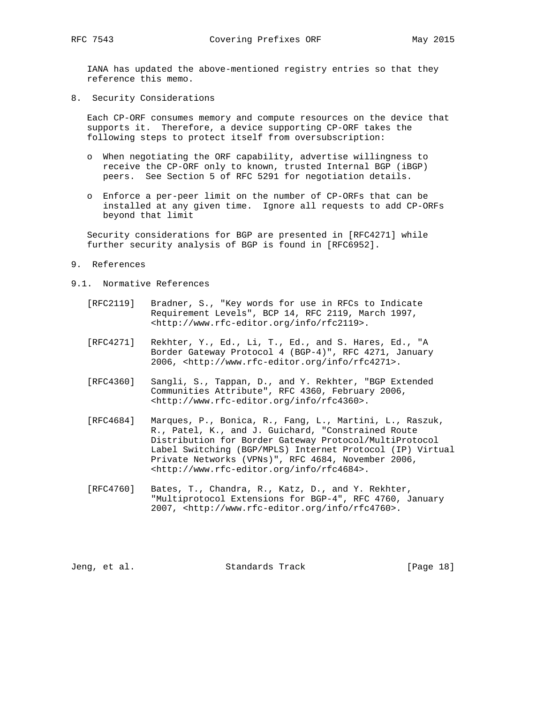IANA has updated the above-mentioned registry entries so that they reference this memo.

8. Security Considerations

 Each CP-ORF consumes memory and compute resources on the device that supports it. Therefore, a device supporting CP-ORF takes the following steps to protect itself from oversubscription:

- o When negotiating the ORF capability, advertise willingness to receive the CP-ORF only to known, trusted Internal BGP (iBGP) peers. See Section 5 of RFC 5291 for negotiation details.
- o Enforce a per-peer limit on the number of CP-ORFs that can be installed at any given time. Ignore all requests to add CP-ORFs beyond that limit

 Security considerations for BGP are presented in [RFC4271] while further security analysis of BGP is found in [RFC6952].

- 9. References
- 9.1. Normative References
	- [RFC2119] Bradner, S., "Key words for use in RFCs to Indicate Requirement Levels", BCP 14, RFC 2119, March 1997, <http://www.rfc-editor.org/info/rfc2119>.
	- [RFC4271] Rekhter, Y., Ed., Li, T., Ed., and S. Hares, Ed., "A Border Gateway Protocol 4 (BGP-4)", RFC 4271, January 2006, <http://www.rfc-editor.org/info/rfc4271>.
	- [RFC4360] Sangli, S., Tappan, D., and Y. Rekhter, "BGP Extended Communities Attribute", RFC 4360, February 2006, <http://www.rfc-editor.org/info/rfc4360>.
	- [RFC4684] Marques, P., Bonica, R., Fang, L., Martini, L., Raszuk, R., Patel, K., and J. Guichard, "Constrained Route Distribution for Border Gateway Protocol/MultiProtocol Label Switching (BGP/MPLS) Internet Protocol (IP) Virtual Private Networks (VPNs)", RFC 4684, November 2006, <http://www.rfc-editor.org/info/rfc4684>.
	- [RFC4760] Bates, T., Chandra, R., Katz, D., and Y. Rekhter, "Multiprotocol Extensions for BGP-4", RFC 4760, January 2007, <http://www.rfc-editor.org/info/rfc4760>.

Jeng, et al. Standards Track [Page 18]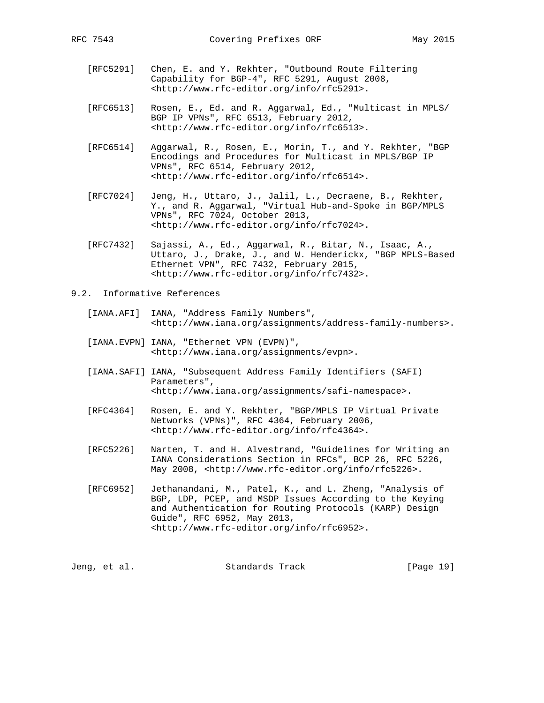- [RFC5291] Chen, E. and Y. Rekhter, "Outbound Route Filtering Capability for BGP-4", RFC 5291, August 2008, <http://www.rfc-editor.org/info/rfc5291>.
- [RFC6513] Rosen, E., Ed. and R. Aggarwal, Ed., "Multicast in MPLS/ BGP IP VPNs", RFC 6513, February 2012, <http://www.rfc-editor.org/info/rfc6513>.
- [RFC6514] Aggarwal, R., Rosen, E., Morin, T., and Y. Rekhter, "BGP Encodings and Procedures for Multicast in MPLS/BGP IP VPNs", RFC 6514, February 2012, <http://www.rfc-editor.org/info/rfc6514>.
- [RFC7024] Jeng, H., Uttaro, J., Jalil, L., Decraene, B., Rekhter, Y., and R. Aggarwal, "Virtual Hub-and-Spoke in BGP/MPLS VPNs", RFC 7024, October 2013, <http://www.rfc-editor.org/info/rfc7024>.
- [RFC7432] Sajassi, A., Ed., Aggarwal, R., Bitar, N., Isaac, A., Uttaro, J., Drake, J., and W. Henderickx, "BGP MPLS-Based Ethernet VPN", RFC 7432, February 2015, <http://www.rfc-editor.org/info/rfc7432>.

### 9.2. Informative References

- [IANA.AFI] IANA, "Address Family Numbers", <http://www.iana.org/assignments/address-family-numbers>.
- [IANA.EVPN] IANA, "Ethernet VPN (EVPN)", <http://www.iana.org/assignments/evpn>.
- [IANA.SAFI] IANA, "Subsequent Address Family Identifiers (SAFI) Parameters", <http://www.iana.org/assignments/safi-namespace>.
- [RFC4364] Rosen, E. and Y. Rekhter, "BGP/MPLS IP Virtual Private Networks (VPNs)", RFC 4364, February 2006, <http://www.rfc-editor.org/info/rfc4364>.
- [RFC5226] Narten, T. and H. Alvestrand, "Guidelines for Writing an IANA Considerations Section in RFCs", BCP 26, RFC 5226, May 2008, <http://www.rfc-editor.org/info/rfc5226>.
- [RFC6952] Jethanandani, M., Patel, K., and L. Zheng, "Analysis of BGP, LDP, PCEP, and MSDP Issues According to the Keying and Authentication for Routing Protocols (KARP) Design Guide", RFC 6952, May 2013, <http://www.rfc-editor.org/info/rfc6952>.

|  | Jeng, et al. | Standards Track |  | [Page 19] |  |
|--|--------------|-----------------|--|-----------|--|
|--|--------------|-----------------|--|-----------|--|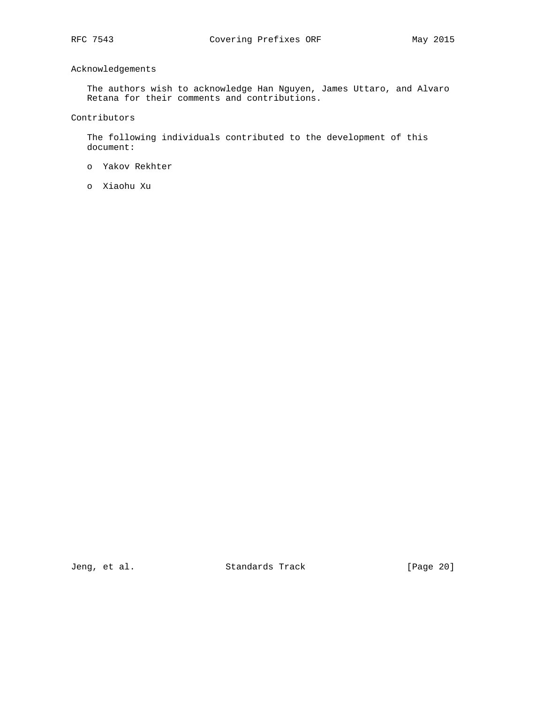# Acknowledgements

 The authors wish to acknowledge Han Nguyen, James Uttaro, and Alvaro Retana for their comments and contributions.

Contributors

 The following individuals contributed to the development of this document:

- o Yakov Rekhter
- o Xiaohu Xu

Jeng, et al. Standards Track [Page 20]